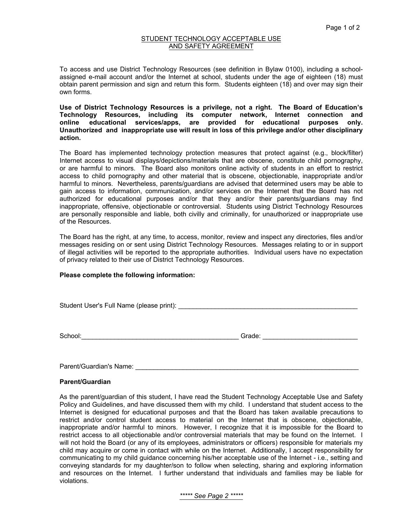## STUDENT TECHNOLOGY ACCEPTABLE USE AND SAFETY AGREEMENT

To access and use District Technology Resources (see definition in Bylaw 0100), including a schoolassigned e-mail account and/or the Internet at school, students under the age of eighteen (18) must obtain parent permission and sign and return this form. Students eighteen (18) and over may sign their own forms.

**Use of District Technology Resources is a privilege, not a right. The Board of Education's Technology Resources, including its computer network, Internet connection and online educational services/apps, are provided for educational purposes only. Unauthorized and inappropriate use will result in loss of this privilege and/or other disciplinary action.** 

The Board has implemented technology protection measures that protect against (e.g., block/filter) Internet access to visual displays/depictions/materials that are obscene, constitute child pornography, or are harmful to minors. The Board also monitors online activity of students in an effort to restrict access to child pornography and other material that is obscene, objectionable, inappropriate and/or harmful to minors. Nevertheless, parents/guardians are advised that determined users may be able to gain access to information, communication, and/or services on the Internet that the Board has not authorized for educational purposes and/or that they and/or their parents/guardians may find inappropriate, offensive, objectionable or controversial. Students using District Technology Resources are personally responsible and liable, both civilly and criminally, for unauthorized or inappropriate use of the Resources.

The Board has the right, at any time, to access, monitor, review and inspect any directories, files and/or messages residing on or sent using District Technology Resources. Messages relating to or in support of illegal activities will be reported to the appropriate authorities. Individual users have no expectation of privacy related to their use of District Technology Resources.

## **Please complete the following information:**

Student User's Full Name (please print): \_\_\_\_\_\_\_\_\_\_\_\_\_\_\_\_\_\_\_\_\_\_\_\_\_\_\_\_\_\_\_\_\_\_\_\_\_\_\_\_\_\_\_\_\_\_\_\_\_

School:\_\_\_\_\_\_\_\_\_\_\_\_\_\_\_\_\_\_\_\_\_\_\_\_\_\_\_\_\_\_\_\_\_\_\_\_\_\_\_\_\_\_\_ Grade: \_\_\_\_\_\_\_\_\_\_\_\_\_\_\_\_\_\_\_\_\_\_\_\_\_\_

Parent/Guardian's Name: \_\_\_\_\_\_\_\_\_\_\_\_\_\_\_\_\_\_\_\_\_\_\_\_\_\_\_\_\_\_\_\_\_\_\_\_\_\_\_\_\_\_\_\_\_\_\_\_\_\_\_\_\_\_\_\_\_\_\_\_\_

## **Parent/Guardian**

As the parent/guardian of this student, I have read the Student Technology Acceptable Use and Safety Policy and Guidelines, and have discussed them with my child. I understand that student access to the Internet is designed for educational purposes and that the Board has taken available precautions to restrict and/or control student access to material on the Internet that is obscene, objectionable, inappropriate and/or harmful to minors. However, I recognize that it is impossible for the Board to restrict access to all objectionable and/or controversial materials that may be found on the Internet. I will not hold the Board (or any of its employees, administrators or officers) responsible for materials my child may acquire or come in contact with while on the Internet. Additionally, I accept responsibility for communicating to my child guidance concerning his/her acceptable use of the Internet - i.e., setting and conveying standards for my daughter/son to follow when selecting, sharing and exploring information and resources on the Internet. I further understand that individuals and families may be liable for violations.

*\*\*\*\*\* See Page 2 \*\*\*\*\**